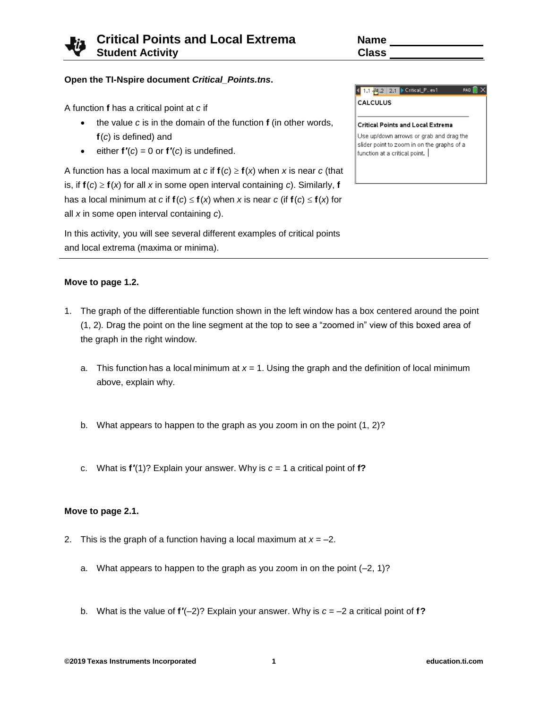# **Critical Points and Local Extrema Name Student Activity Class**

## **Open the TI-Nspire document** *Critical\_Points.tns***.**

A function **f** has a critical point at *c* if

- the value *c* is in the domain of the function **f** (in other words, **f**(*c*) is defined) and
- **e** either  $f'(c) = 0$  or  $f'(c)$  is undefined.

A function has a local maximum at *c* if  $f(c) \ge f(x)$  when *x* is near *c* (that is, if  $f(c) \ge f(x)$  for all *x* in some open interval containing *c*). Similarly, f has a local minimum at *c* if  $f(c) \le f(x)$  when *x* is near *c* (if  $f(c) \le f(x)$  for all *x* in some open interval containing *c*).

In this activity, you will see several different examples of critical points and local extrema (maxima or minima).

### **Move to page 1.2.**

- 1. The graph of the differentiable function shown in the left window has a box centered around the point (1, 2)*.* Drag the point on the line segment at the top to see a "zoomed in" view of this boxed area of the graph in the right window.
	- a. This function has a local minimum at *x* = 1. Using the graph and the definition of local minimum above, explain why.
	- b. What appears to happen to the graph as you zoom in on the point (1, 2)?
	- c. What is **f′**(1)? Explain your answer. Why is *c* = 1 a critical point of **f?**

#### **Move to page 2.1.**

- 2. This is the graph of a function having a local maximum at  $x = -2$ .
	- a. What appears to happen to the graph as you zoom in on the point  $(-2, 1)$ ?
	- b. What is the value of **f′**(–2)? Explain your answer. Why is *c* = –2 a critical point of **f?**

|                               | 1.1 $\sqrt{M}$ , 2   2.1  ▶ Critical_P ev1                                            | RAD |  |
|-------------------------------|---------------------------------------------------------------------------------------|-----|--|
| <b>CALCULUS</b>               |                                                                                       |     |  |
|                               | <b>Critical Points and Local Extrema</b>                                              |     |  |
| function at a critical point. | Use up/down arrows or grab and drag the<br>slider point to zoom in on the graphs of a |     |  |